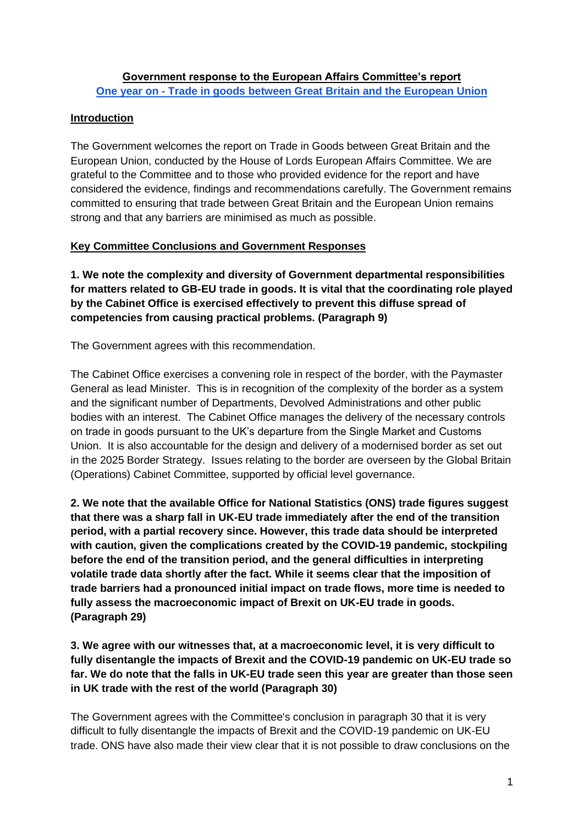# **Government response to the European Affairs Committee's report One year on - [Trade in goods between Great Britain and the European Union](https://committees.parliament.uk/publications/8266/documents/84391/default/)**

# **Introduction**

The Government welcomes the report on Trade in Goods between Great Britain and the European Union, conducted by the House of Lords European Affairs Committee. We are grateful to the Committee and to those who provided evidence for the report and have considered the evidence, findings and recommendations carefully. The Government remains committed to ensuring that trade between Great Britain and the European Union remains strong and that any barriers are minimised as much as possible.

# **Key Committee Conclusions and Government Responses**

**1. We note the complexity and diversity of Government departmental responsibilities for matters related to GB-EU trade in goods. It is vital that the coordinating role played by the Cabinet Office is exercised effectively to prevent this diffuse spread of competencies from causing practical problems. (Paragraph 9)** 

The Government agrees with this recommendation.

The Cabinet Office exercises a convening role in respect of the border, with the Paymaster General as lead Minister. This is in recognition of the complexity of the border as a system and the significant number of Departments, Devolved Administrations and other public bodies with an interest. The Cabinet Office manages the delivery of the necessary controls on trade in goods pursuant to the UK's departure from the Single Market and Customs Union. It is also accountable for the design and delivery of a modernised border as set out in the 2025 Border Strategy. Issues relating to the border are overseen by the Global Britain (Operations) Cabinet Committee, supported by official level governance.

**2. We note that the available Office for National Statistics (ONS) trade figures suggest that there was a sharp fall in UK-EU trade immediately after the end of the transition period, with a partial recovery since. However, this trade data should be interpreted with caution, given the complications created by the COVID-19 pandemic, stockpiling before the end of the transition period, and the general difficulties in interpreting volatile trade data shortly after the fact. While it seems clear that the imposition of trade barriers had a pronounced initial impact on trade flows, more time is needed to fully assess the macroeconomic impact of Brexit on UK-EU trade in goods. (Paragraph 29)** 

**3. We agree with our witnesses that, at a macroeconomic level, it is very difficult to fully disentangle the impacts of Brexit and the COVID-19 pandemic on UK-EU trade so far. We do note that the falls in UK-EU trade seen this year are greater than those seen in UK trade with the rest of the world (Paragraph 30)** 

The Government agrees with the Committee's conclusion in paragraph 30 that it is very difficult to fully disentangle the impacts of Brexit and the COVID-19 pandemic on UK-EU trade. ONS have also made their view clear that it is not possible to draw conclusions on the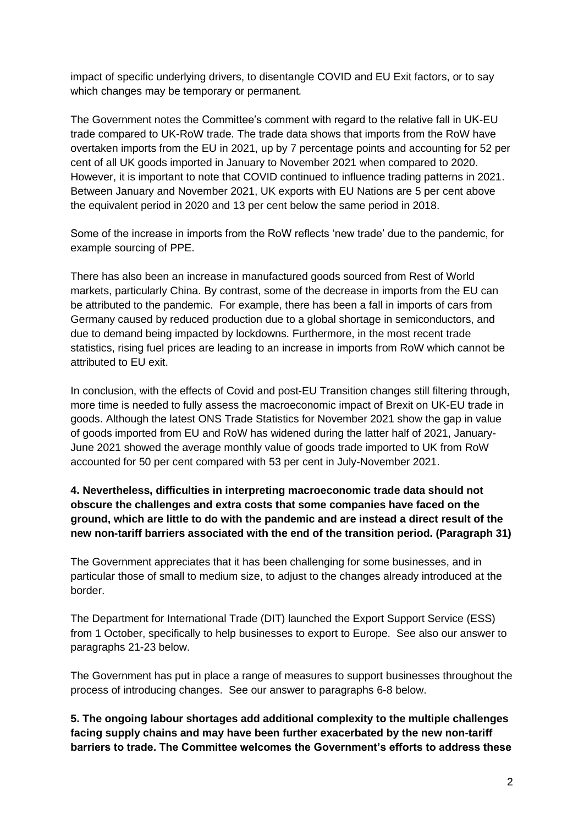impact of specific underlying drivers, to disentangle COVID and EU Exit factors, or to say which changes may be temporary or permanent*.*

The Government notes the Committee's comment with regard to the relative fall in UK-EU trade compared to UK-RoW trade. The trade data shows that imports from the RoW have overtaken imports from the EU in 2021, up by 7 percentage points and accounting for 52 per cent of all UK goods imported in January to November 2021 when compared to 2020. However, it is important to note that COVID continued to influence trading patterns in 2021. Between January and November 2021, UK exports with EU Nations are 5 per cent above the equivalent period in 2020 and 13 per cent below the same period in 2018.

Some of the increase in imports from the RoW reflects 'new trade' due to the pandemic, for example sourcing of PPE.

There has also been an increase in manufactured goods sourced from Rest of World markets, particularly China. By contrast, some of the decrease in imports from the EU can be attributed to the pandemic. For example, there has been a fall in imports of cars from Germany caused by reduced production due to a global shortage in semiconductors, and due to demand being impacted by lockdowns. Furthermore, in the most recent trade statistics, rising fuel prices are leading to an increase in imports from RoW which cannot be attributed to EU exit.

In conclusion, with the effects of Covid and post-EU Transition changes still filtering through, more time is needed to fully assess the macroeconomic impact of Brexit on UK-EU trade in goods. Although the latest ONS Trade Statistics for November 2021 show the gap in value of goods imported from EU and RoW has widened during the latter half of 2021, January-June 2021 showed the average monthly value of goods trade imported to UK from RoW accounted for 50 per cent compared with 53 per cent in July-November 2021.

### **4. Nevertheless, difficulties in interpreting macroeconomic trade data should not obscure the challenges and extra costs that some companies have faced on the ground, which are little to do with the pandemic and are instead a direct result of the new non-tariff barriers associated with the end of the transition period. (Paragraph 31)**

The Government appreciates that it has been challenging for some businesses, and in particular those of small to medium size, to adjust to the changes already introduced at the border.

The Department for International Trade (DIT) launched the Export Support Service (ESS) from 1 October, specifically to help businesses to export to Europe. See also our answer to paragraphs 21-23 below.

The Government has put in place a range of measures to support businesses throughout the process of introducing changes. See our answer to paragraphs 6-8 below.

**5. The ongoing labour shortages add additional complexity to the multiple challenges facing supply chains and may have been further exacerbated by the new non-tariff barriers to trade. The Committee welcomes the Government's efforts to address these**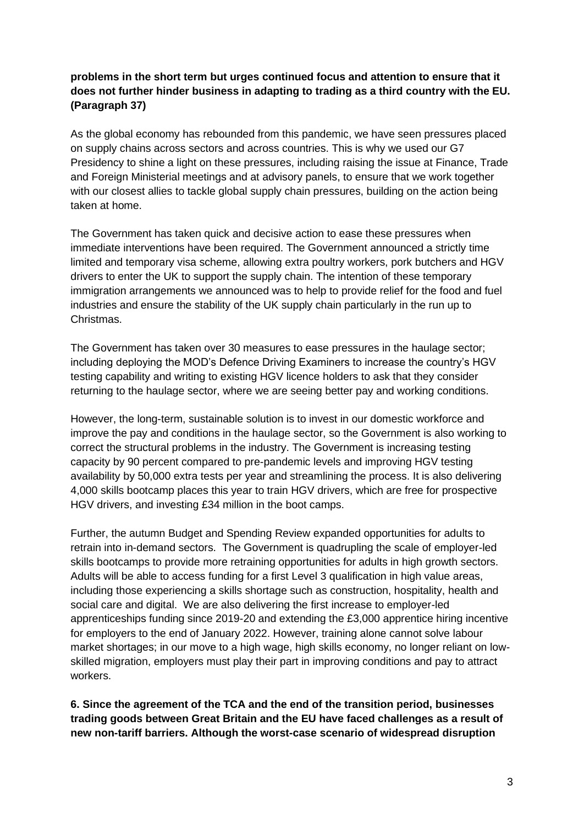# **problems in the short term but urges continued focus and attention to ensure that it does not further hinder business in adapting to trading as a third country with the EU. (Paragraph 37)**

As the global economy has rebounded from this pandemic, we have seen pressures placed on supply chains across sectors and across countries. This is why we used our G7 Presidency to shine a light on these pressures, including raising the issue at Finance, Trade and Foreign Ministerial meetings and at advisory panels, to ensure that we work together with our closest allies to tackle global supply chain pressures, building on the action being taken at home.

The Government has taken quick and decisive action to ease these pressures when immediate interventions have been required. The Government announced a strictly time limited and temporary visa scheme, allowing extra poultry workers, pork butchers and HGV drivers to enter the UK to support the supply chain. The intention of these temporary immigration arrangements we announced was to help to provide relief for the food and fuel industries and ensure the stability of the UK supply chain particularly in the run up to Christmas.

The Government has taken over 30 measures to ease pressures in the haulage sector; including deploying the MOD's Defence Driving Examiners to increase the country's HGV testing capability and writing to existing HGV licence holders to ask that they consider returning to the haulage sector, where we are seeing better pay and working conditions.

However, the long-term, sustainable solution is to invest in our domestic workforce and improve the pay and conditions in the haulage sector, so the Government is also working to correct the structural problems in the industry. The Government is increasing testing capacity by 90 percent compared to pre-pandemic levels and improving HGV testing availability by 50,000 extra tests per year and streamlining the process. It is also delivering 4,000 skills bootcamp places this year to train HGV drivers, which are free for prospective HGV drivers, and investing £34 million in the boot camps.

Further, the autumn Budget and Spending Review expanded opportunities for adults to retrain into in-demand sectors. The Government is quadrupling the scale of employer-led skills bootcamps to provide more retraining opportunities for adults in high growth sectors. Adults will be able to access funding for a first Level 3 qualification in high value areas, including those experiencing a skills shortage such as construction, hospitality, health and social care and digital. We are also delivering the first increase to employer-led apprenticeships funding since 2019-20 and extending the £3,000 apprentice hiring incentive for employers to the end of January 2022. However, training alone cannot solve labour market shortages; in our move to a high wage, high skills economy, no longer reliant on lowskilled migration, employers must play their part in improving conditions and pay to attract workers.

**6. Since the agreement of the TCA and the end of the transition period, businesses trading goods between Great Britain and the EU have faced challenges as a result of new non-tariff barriers. Although the worst-case scenario of widespread disruption**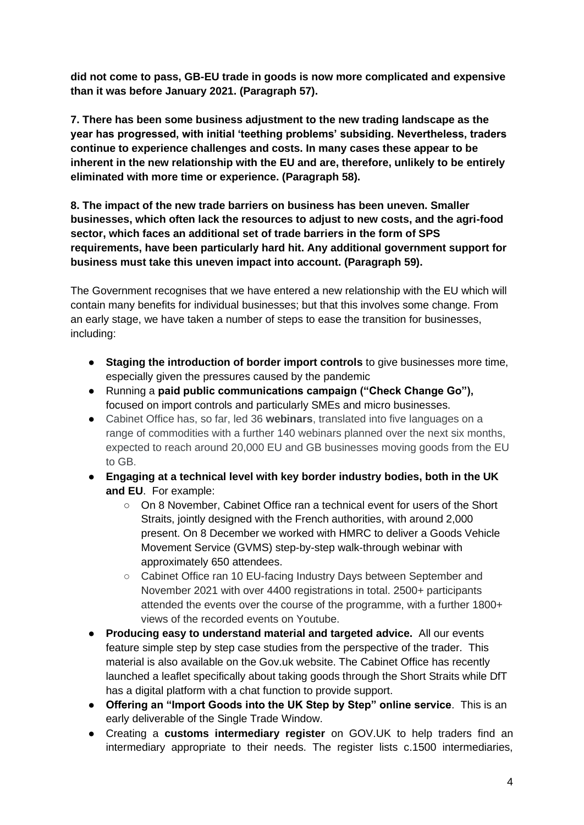**did not come to pass, GB-EU trade in goods is now more complicated and expensive than it was before January 2021. (Paragraph 57).**

**7. There has been some business adjustment to the new trading landscape as the year has progressed, with initial 'teething problems' subsiding. Nevertheless, traders continue to experience challenges and costs. In many cases these appear to be inherent in the new relationship with the EU and are, therefore, unlikely to be entirely eliminated with more time or experience. (Paragraph 58).**

**8. The impact of the new trade barriers on business has been uneven. Smaller businesses, which often lack the resources to adjust to new costs, and the agri-food sector, which faces an additional set of trade barriers in the form of SPS requirements, have been particularly hard hit. Any additional government support for business must take this uneven impact into account. (Paragraph 59).**

The Government recognises that we have entered a new relationship with the EU which will contain many benefits for individual businesses; but that this involves some change. From an early stage, we have taken a number of steps to ease the transition for businesses, including:

- **Staging the introduction of border import controls** to give businesses more time, especially given the pressures caused by the pandemic
- Running a **paid public communications campaign ("Check Change Go"),**  focused on import controls and particularly SMEs and micro businesses.
- Cabinet Office has, so far, led 36 **webinars**, translated into five languages on a range of commodities with a further 140 webinars planned over the next six months, expected to reach around 20,000 EU and GB businesses moving goods from the EU to GB.
- **Engaging at a technical level with key border industry bodies, both in the UK and EU**. For example:
	- On 8 November, Cabinet Office ran a technical event for users of the Short Straits, jointly designed with the French authorities, with around 2,000 present. On 8 December we worked with HMRC to deliver a Goods Vehicle Movement Service (GVMS) step-by-step walk-through webinar with approximately 650 attendees.
	- Cabinet Office ran 10 EU-facing Industry Days between September and November 2021 with over 4400 registrations in total. 2500+ participants attended the events over the course of the programme, with a further 1800+ views of the recorded events on Youtube.
- **Producing easy to understand material and targeted advice.** All our events feature simple step by step case studies from the perspective of the trader. This material is also available on the Gov.uk website. The Cabinet Office has recently launched a leaflet specifically about taking goods through the Short Straits while DfT has a digital platform with a chat function to provide support.
- **Offering an "Import Goods into the UK Step by Step" online service**. This is an early deliverable of the Single Trade Window.
- Creating a **customs intermediary register** on GOV.UK to help traders find an intermediary appropriate to their needs. The register lists c.1500 intermediaries,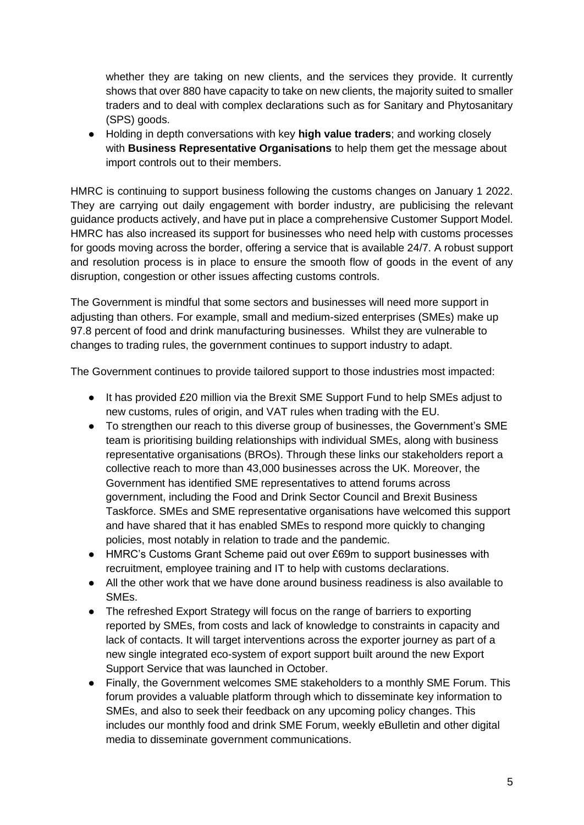whether they are taking on new clients, and the services they provide. It currently shows that over 880 have capacity to take on new clients, the majority suited to smaller traders and to deal with complex declarations such as for Sanitary and Phytosanitary (SPS) goods.

● Holding in depth conversations with key **high value traders**; and working closely with **Business Representative Organisations** to help them get the message about import controls out to their members.

HMRC is continuing to support business following the customs changes on January 1 2022. They are carrying out daily engagement with border industry, are publicising the relevant guidance products actively, and have put in place a comprehensive Customer Support Model. HMRC has also increased its support for businesses who need help with customs processes for goods moving across the border, offering a service that is available 24/7. A robust support and resolution process is in place to ensure the smooth flow of goods in the event of any disruption, congestion or other issues affecting customs controls.

The Government is mindful that some sectors and businesses will need more support in adjusting than others. For example, small and medium-sized enterprises (SMEs) make up 97.8 percent of food and drink manufacturing businesses. Whilst they are vulnerable to changes to trading rules, the government continues to support industry to adapt.

The Government continues to provide tailored support to those industries most impacted:

- It has provided £20 million via the Brexit SME Support Fund to help SMEs adjust to new customs, rules of origin, and VAT rules when trading with the EU.
- To strengthen our reach to this diverse group of businesses, the Government's SME team is prioritising building relationships with individual SMEs, along with business representative organisations (BROs). Through these links our stakeholders report a collective reach to more than 43,000 businesses across the UK. Moreover, the Government has identified SME representatives to attend forums across government, including the Food and Drink Sector Council and Brexit Business Taskforce. SMEs and SME representative organisations have welcomed this support and have shared that it has enabled SMEs to respond more quickly to changing policies, most notably in relation to trade and the pandemic.
- HMRC's Customs Grant Scheme paid out over £69m to support businesses with recruitment, employee training and IT to help with customs declarations.
- All the other work that we have done around business readiness is also available to SMEs.
- The refreshed Export Strategy will focus on the range of barriers to exporting reported by SMEs, from costs and lack of knowledge to constraints in capacity and lack of contacts. It will target interventions across the exporter journey as part of a new single integrated eco-system of export support built around the new Export Support Service that was launched in October.
- Finally, the Government welcomes SME stakeholders to a monthly SME Forum. This forum provides a valuable platform through which to disseminate key information to SMEs, and also to seek their feedback on any upcoming policy changes. This includes our monthly food and drink SME Forum, weekly eBulletin and other digital media to disseminate government communications.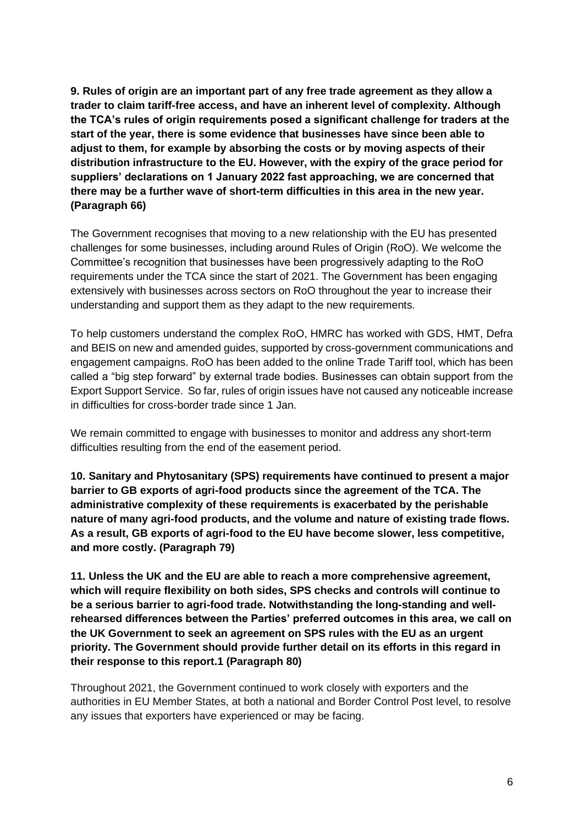**9. Rules of origin are an important part of any free trade agreement as they allow a trader to claim tariff-free access, and have an inherent level of complexity. Although the TCA's rules of origin requirements posed a significant challenge for traders at the start of the year, there is some evidence that businesses have since been able to adjust to them, for example by absorbing the costs or by moving aspects of their distribution infrastructure to the EU. However, with the expiry of the grace period for suppliers' declarations on 1 January 2022 fast approaching, we are concerned that there may be a further wave of short-term difficulties in this area in the new year. (Paragraph 66)**

The Government recognises that moving to a new relationship with the EU has presented challenges for some businesses, including around Rules of Origin (RoO). We welcome the Committee's recognition that businesses have been progressively adapting to the RoO requirements under the TCA since the start of 2021. The Government has been engaging extensively with businesses across sectors on RoO throughout the year to increase their understanding and support them as they adapt to the new requirements.

To help customers understand the complex RoO, HMRC has worked with GDS, HMT, Defra and BEIS on new and amended guides, supported by cross-government communications and engagement campaigns. RoO has been added to the online Trade Tariff tool, which has been called a "big step forward" by external trade bodies. Businesses can obtain support from the Export Support Service. So far, rules of origin issues have not caused any noticeable increase in difficulties for cross-border trade since 1 Jan.

We remain committed to engage with businesses to monitor and address any short-term difficulties resulting from the end of the easement period.

**10. Sanitary and Phytosanitary (SPS) requirements have continued to present a major barrier to GB exports of agri-food products since the agreement of the TCA. The administrative complexity of these requirements is exacerbated by the perishable nature of many agri-food products, and the volume and nature of existing trade flows. As a result, GB exports of agri-food to the EU have become slower, less competitive, and more costly. (Paragraph 79)** 

**11. Unless the UK and the EU are able to reach a more comprehensive agreement, which will require flexibility on both sides, SPS checks and controls will continue to be a serious barrier to agri-food trade. Notwithstanding the long-standing and wellrehearsed differences between the Parties' preferred outcomes in this area, we call on the UK Government to seek an agreement on SPS rules with the EU as an urgent priority. The Government should provide further detail on its efforts in this regard in their response to this report.1 (Paragraph 80)**

Throughout 2021, the Government continued to work closely with exporters and the authorities in EU Member States, at both a national and Border Control Post level, to resolve any issues that exporters have experienced or may be facing.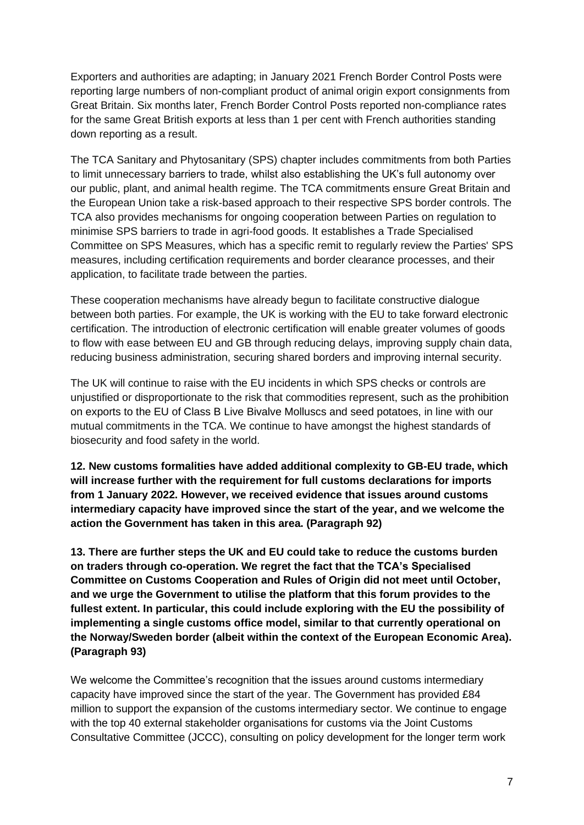Exporters and authorities are adapting; in January 2021 French Border Control Posts were reporting large numbers of non-compliant product of animal origin export consignments from Great Britain. Six months later, French Border Control Posts reported non-compliance rates for the same Great British exports at less than 1 per cent with French authorities standing down reporting as a result.

The TCA Sanitary and Phytosanitary (SPS) chapter includes commitments from both Parties to limit unnecessary barriers to trade, whilst also establishing the UK's full autonomy over our public, plant, and animal health regime. The TCA commitments ensure Great Britain and the European Union take a risk-based approach to their respective SPS border controls. The TCA also provides mechanisms for ongoing cooperation between Parties on regulation to minimise SPS barriers to trade in agri-food goods. It establishes a Trade Specialised Committee on SPS Measures, which has a specific remit to regularly review the Parties' SPS measures, including certification requirements and border clearance processes, and their application, to facilitate trade between the parties.

These cooperation mechanisms have already begun to facilitate constructive dialogue between both parties. For example, the UK is working with the EU to take forward electronic certification. The introduction of electronic certification will enable greater volumes of goods to flow with ease between EU and GB through reducing delays, improving supply chain data, reducing business administration, securing shared borders and improving internal security.

The UK will continue to raise with the EU incidents in which SPS checks or controls are unjustified or disproportionate to the risk that commodities represent, such as the prohibition on exports to the EU of Class B Live Bivalve Molluscs and seed potatoes, in line with our mutual commitments in the TCA. We continue to have amongst the highest standards of biosecurity and food safety in the world.

**12. New customs formalities have added additional complexity to GB-EU trade, which will increase further with the requirement for full customs declarations for imports from 1 January 2022. However, we received evidence that issues around customs intermediary capacity have improved since the start of the year, and we welcome the action the Government has taken in this area. (Paragraph 92)** 

**13. There are further steps the UK and EU could take to reduce the customs burden on traders through co-operation. We regret the fact that the TCA's Specialised Committee on Customs Cooperation and Rules of Origin did not meet until October, and we urge the Government to utilise the platform that this forum provides to the fullest extent. In particular, this could include exploring with the EU the possibility of implementing a single customs office model, similar to that currently operational on the Norway/Sweden border (albeit within the context of the European Economic Area). (Paragraph 93)** 

We welcome the Committee's recognition that the issues around customs intermediary capacity have improved since the start of the year. The Government has provided £84 million to support the expansion of the customs intermediary sector. We continue to engage with the top 40 external stakeholder organisations for customs via the Joint Customs Consultative Committee (JCCC), consulting on policy development for the longer term work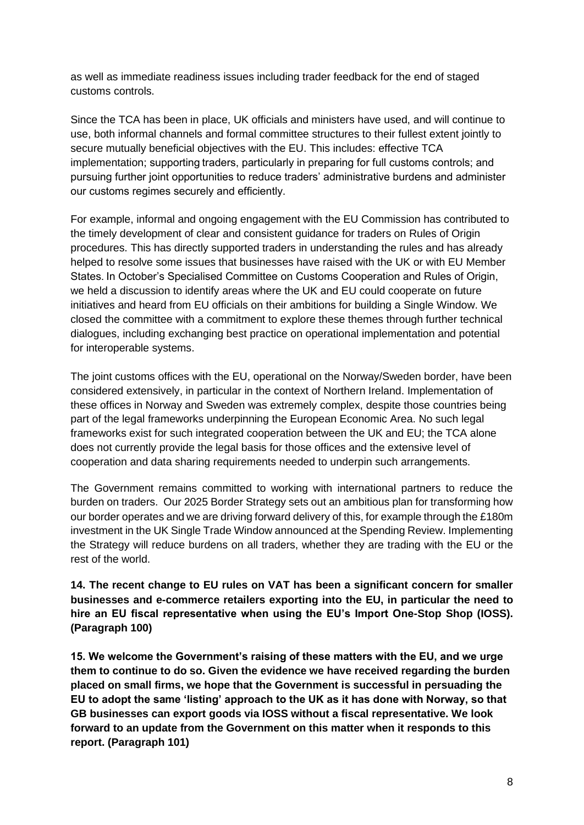as well as immediate readiness issues including trader feedback for the end of staged customs controls.

Since the TCA has been in place, UK officials and ministers have used, and will continue to use, both informal channels and formal committee structures to their fullest extent jointly to secure mutually beneficial objectives with the EU. This includes: effective TCA implementation; supporting traders, particularly in preparing for full customs controls; and pursuing further joint opportunities to reduce traders' administrative burdens and administer our customs regimes securely and efficiently. 

For example, informal and ongoing engagement with the EU Commission has contributed to the timely development of clear and consistent guidance for traders on Rules of Origin procedures. This has directly supported traders in understanding the rules and has already helped to resolve some issues that businesses have raised with the UK or with EU Member States. In October's Specialised Committee on Customs Cooperation and Rules of Origin, we held a discussion to identify areas where the UK and EU could cooperate on future initiatives and heard from EU officials on their ambitions for building a Single Window. We closed the committee with a commitment to explore these themes through further technical dialogues, including exchanging best practice on operational implementation and potential for interoperable systems.

The joint customs offices with the EU, operational on the Norway/Sweden border, have been considered extensively, in particular in the context of Northern Ireland. Implementation of these offices in Norway and Sweden was extremely complex, despite those countries being part of the legal frameworks underpinning the European Economic Area. No such legal frameworks exist for such integrated cooperation between the UK and EU; the TCA alone does not currently provide the legal basis for those offices and the extensive level of cooperation and data sharing requirements needed to underpin such arrangements.

The Government remains committed to working with international partners to reduce the burden on traders. Our 2025 Border Strategy sets out an ambitious plan for transforming how our border operates and we are driving forward delivery of this, for example through the £180m investment in the UK Single Trade Window announced at the Spending Review. Implementing the Strategy will reduce burdens on all traders, whether they are trading with the EU or the rest of the world.

**14. The recent change to EU rules on VAT has been a significant concern for smaller businesses and e-commerce retailers exporting into the EU, in particular the need to hire an EU fiscal representative when using the EU's Import One-Stop Shop (IOSS). (Paragraph 100)** 

**15. We welcome the Government's raising of these matters with the EU, and we urge them to continue to do so. Given the evidence we have received regarding the burden placed on small firms, we hope that the Government is successful in persuading the EU to adopt the same 'listing' approach to the UK as it has done with Norway, so that GB businesses can export goods via IOSS without a fiscal representative. We look forward to an update from the Government on this matter when it responds to this report. (Paragraph 101)**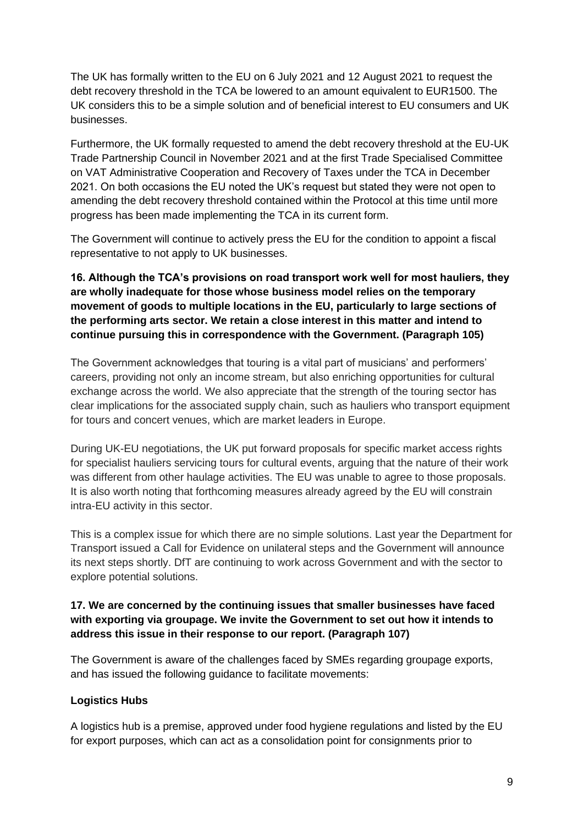The UK has formally written to the EU on 6 July 2021 and 12 August 2021 to request the debt recovery threshold in the TCA be lowered to an amount equivalent to EUR1500. The UK considers this to be a simple solution and of beneficial interest to EU consumers and UK businesses.

Furthermore, the UK formally requested to amend the debt recovery threshold at the EU-UK Trade Partnership Council in November 2021 and at the first Trade Specialised Committee on VAT Administrative Cooperation and Recovery of Taxes under the TCA in December 2021. On both occasions the EU noted the UK's request but stated they were not open to amending the debt recovery threshold contained within the Protocol at this time until more progress has been made implementing the TCA in its current form.

The Government will continue to actively press the EU for the condition to appoint a fiscal representative to not apply to UK businesses.

# **16. Although the TCA's provisions on road transport work well for most hauliers, they are wholly inadequate for those whose business model relies on the temporary movement of goods to multiple locations in the EU, particularly to large sections of the performing arts sector. We retain a close interest in this matter and intend to continue pursuing this in correspondence with the Government. (Paragraph 105)**

The Government acknowledges that touring is a vital part of musicians' and performers' careers, providing not only an income stream, but also enriching opportunities for cultural exchange across the world. We also appreciate that the strength of the touring sector has clear implications for the associated supply chain, such as hauliers who transport equipment for tours and concert venues, which are market leaders in Europe.

During UK-EU negotiations, the UK put forward proposals for specific market access rights for specialist hauliers servicing tours for cultural events, arguing that the nature of their work was different from other haulage activities. The EU was unable to agree to those proposals. It is also worth noting that forthcoming measures already agreed by the EU will constrain intra-EU activity in this sector.

This is a complex issue for which there are no simple solutions. Last year the Department for Transport issued a Call for Evidence on unilateral steps and the Government will announce its next steps shortly. DfT are continuing to work across Government and with the sector to explore potential solutions.

# **17. We are concerned by the continuing issues that smaller businesses have faced with exporting via groupage. We invite the Government to set out how it intends to address this issue in their response to our report. (Paragraph 107)**

The Government is aware of the challenges faced by SMEs regarding groupage exports, and has issued the following guidance to facilitate movements:

#### **Logistics Hubs**

A logistics hub is a premise, approved under food hygiene regulations and listed by the EU for export purposes, which can act as a consolidation point for consignments prior to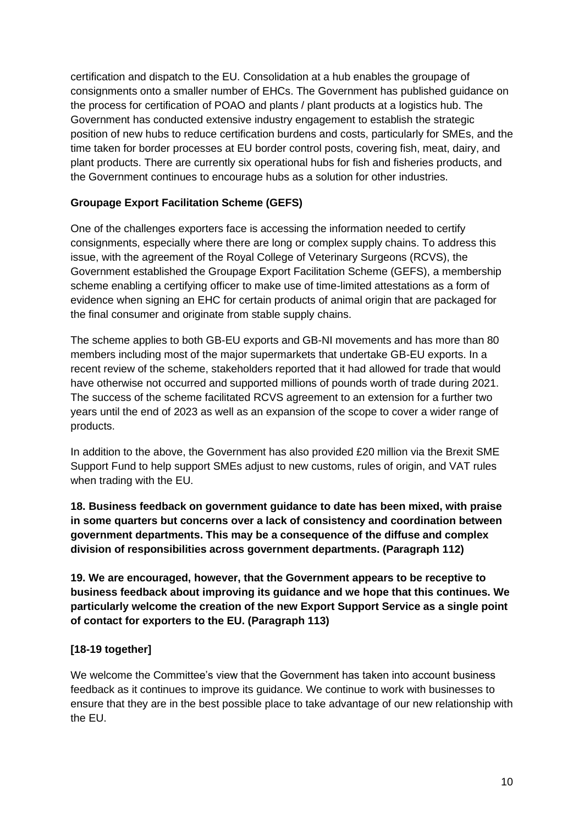certification and dispatch to the EU. Consolidation at a hub enables the groupage of consignments onto a smaller number of EHCs. The Government has published guidance on the process for certification of POAO and plants / plant products at a logistics hub. The Government has conducted extensive industry engagement to establish the strategic position of new hubs to reduce certification burdens and costs, particularly for SMEs, and the time taken for border processes at EU border control posts, covering fish, meat, dairy, and plant products. There are currently six operational hubs for fish and fisheries products, and the Government continues to encourage hubs as a solution for other industries.

#### **Groupage Export Facilitation Scheme (GEFS)**

One of the challenges exporters face is accessing the information needed to certify consignments, especially where there are long or complex supply chains. To address this issue, with the agreement of the Royal College of Veterinary Surgeons (RCVS), the Government established the Groupage Export Facilitation Scheme (GEFS), a membership scheme enabling a certifying officer to make use of time-limited attestations as a form of evidence when signing an EHC for certain products of animal origin that are packaged for the final consumer and originate from stable supply chains.

The scheme applies to both GB-EU exports and GB-NI movements and has more than 80 members including most of the major supermarkets that undertake GB-EU exports. In a recent review of the scheme, stakeholders reported that it had allowed for trade that would have otherwise not occurred and supported millions of pounds worth of trade during 2021. The success of the scheme facilitated RCVS agreement to an extension for a further two years until the end of 2023 as well as an expansion of the scope to cover a wider range of products.

In addition to the above, the Government has also provided £20 million via the Brexit SME Support Fund to help support SMEs adjust to new customs, rules of origin, and VAT rules when trading with the EU.

**18. Business feedback on government guidance to date has been mixed, with praise in some quarters but concerns over a lack of consistency and coordination between government departments. This may be a consequence of the diffuse and complex division of responsibilities across government departments. (Paragraph 112)** 

**19. We are encouraged, however, that the Government appears to be receptive to business feedback about improving its guidance and we hope that this continues. We particularly welcome the creation of the new Export Support Service as a single point of contact for exporters to the EU. (Paragraph 113)** 

#### **[18-19 together]**

We welcome the Committee's view that the Government has taken into account business feedback as it continues to improve its guidance. We continue to work with businesses to ensure that they are in the best possible place to take advantage of our new relationship with the EU.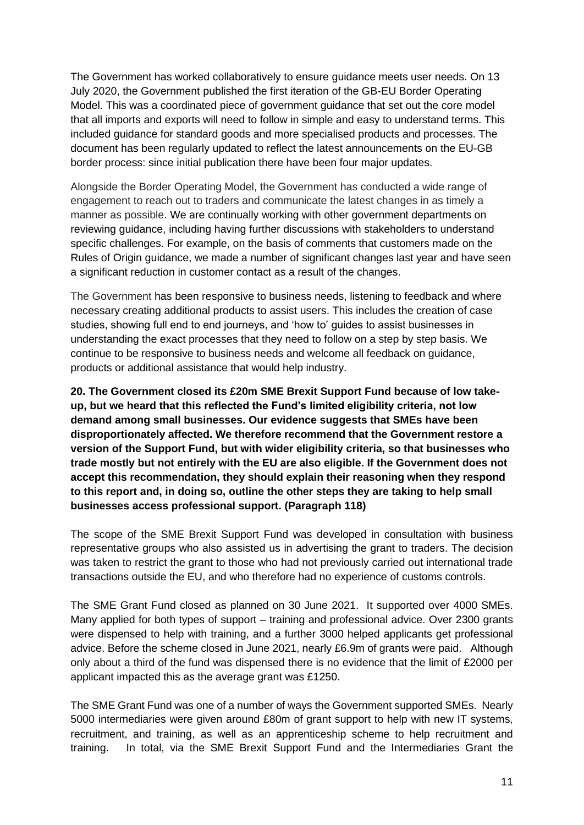The Government has worked collaboratively to ensure guidance meets user needs. On 13 July 2020, the Government published the first iteration of the GB-EU Border Operating Model. This was a coordinated piece of government guidance that set out the core model that all imports and exports will need to follow in simple and easy to understand terms. This included guidance for standard goods and more specialised products and processes. The document has been regularly updated to reflect the latest announcements on the EU-GB border process: since initial publication there have been four major updates.

Alongside the Border Operating Model, the Government has conducted a wide range of engagement to reach out to traders and communicate the latest changes in as timely a manner as possible. We are continually working with other government departments on reviewing guidance, including having further discussions with stakeholders to understand specific challenges. For example, on the basis of comments that customers made on the Rules of Origin guidance, we made a number of significant changes last year and have seen a significant reduction in customer contact as a result of the changes.

The Government has been responsive to business needs, listening to feedback and where necessary creating additional products to assist users. This includes the creation of case studies, showing full end to end journeys, and 'how to' guides to assist businesses in understanding the exact processes that they need to follow on a step by step basis. We continue to be responsive to business needs and welcome all feedback on guidance, products or additional assistance that would help industry.

**20. The Government closed its £20m SME Brexit Support Fund because of low takeup, but we heard that this reflected the Fund's limited eligibility criteria, not low demand among small businesses. Our evidence suggests that SMEs have been disproportionately affected. We therefore recommend that the Government restore a version of the Support Fund, but with wider eligibility criteria, so that businesses who trade mostly but not entirely with the EU are also eligible. If the Government does not accept this recommendation, they should explain their reasoning when they respond to this report and, in doing so, outline the other steps they are taking to help small businesses access professional support. (Paragraph 118)**

The scope of the SME Brexit Support Fund was developed in consultation with business representative groups who also assisted us in advertising the grant to traders. The decision was taken to restrict the grant to those who had not previously carried out international trade transactions outside the EU, and who therefore had no experience of customs controls.

The SME Grant Fund closed as planned on 30 June 2021. It supported over 4000 SMEs. Many applied for both types of support – training and professional advice. Over 2300 grants were dispensed to help with training, and a further 3000 helped applicants get professional advice. Before the scheme closed in June 2021, nearly £6.9m of grants were paid. Although only about a third of the fund was dispensed there is no evidence that the limit of £2000 per applicant impacted this as the average grant was £1250.

The SME Grant Fund was one of a number of ways the Government supported SMEs. Nearly 5000 intermediaries were given around £80m of grant support to help with new IT systems, recruitment, and training, as well as an apprenticeship scheme to help recruitment and training. In total, via the SME Brexit Support Fund and the Intermediaries Grant the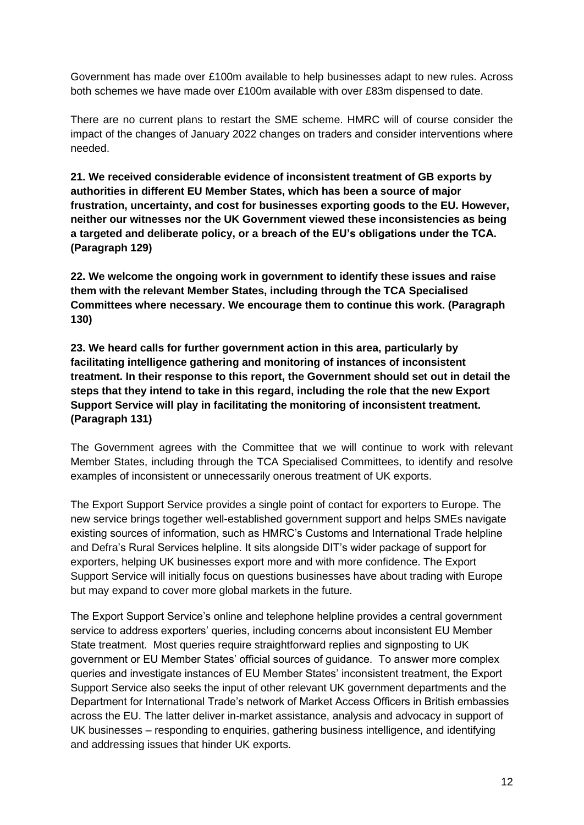Government has made over £100m available to help businesses adapt to new rules. Across both schemes we have made over £100m available with over £83m dispensed to date.

There are no current plans to restart the SME scheme. HMRC will of course consider the impact of the changes of January 2022 changes on traders and consider interventions where needed.

**21. We received considerable evidence of inconsistent treatment of GB exports by authorities in different EU Member States, which has been a source of major frustration, uncertainty, and cost for businesses exporting goods to the EU. However, neither our witnesses nor the UK Government viewed these inconsistencies as being a targeted and deliberate policy, or a breach of the EU's obligations under the TCA. (Paragraph 129)** 

**22. We welcome the ongoing work in government to identify these issues and raise them with the relevant Member States, including through the TCA Specialised Committees where necessary. We encourage them to continue this work. (Paragraph 130)** 

**23. We heard calls for further government action in this area, particularly by facilitating intelligence gathering and monitoring of instances of inconsistent treatment. In their response to this report, the Government should set out in detail the steps that they intend to take in this regard, including the role that the new Export Support Service will play in facilitating the monitoring of inconsistent treatment. (Paragraph 131)** 

The Government agrees with the Committee that we will continue to work with relevant Member States, including through the TCA Specialised Committees, to identify and resolve examples of inconsistent or unnecessarily onerous treatment of UK exports.

The Export Support Service provides a single point of contact for exporters to Europe. The new service brings together well-established government support and helps SMEs navigate existing sources of information, such as HMRC's Customs and International Trade helpline and Defra's Rural Services helpline. It sits alongside DIT's wider package of support for exporters, helping UK businesses export more and with more confidence. The Export Support Service will initially focus on questions businesses have about trading with Europe but may expand to cover more global markets in the future.

The Export Support Service's online and telephone helpline provides a central government service to address exporters' queries, including concerns about inconsistent EU Member State treatment. Most queries require straightforward replies and signposting to UK government or EU Member States' official sources of guidance. To answer more complex queries and investigate instances of EU Member States' inconsistent treatment, the Export Support Service also seeks the input of other relevant UK government departments and the Department for International Trade's network of Market Access Officers in British embassies across the EU. The latter deliver in-market assistance, analysis and advocacy in support of UK businesses – responding to enquiries, gathering business intelligence, and identifying and addressing issues that hinder UK exports.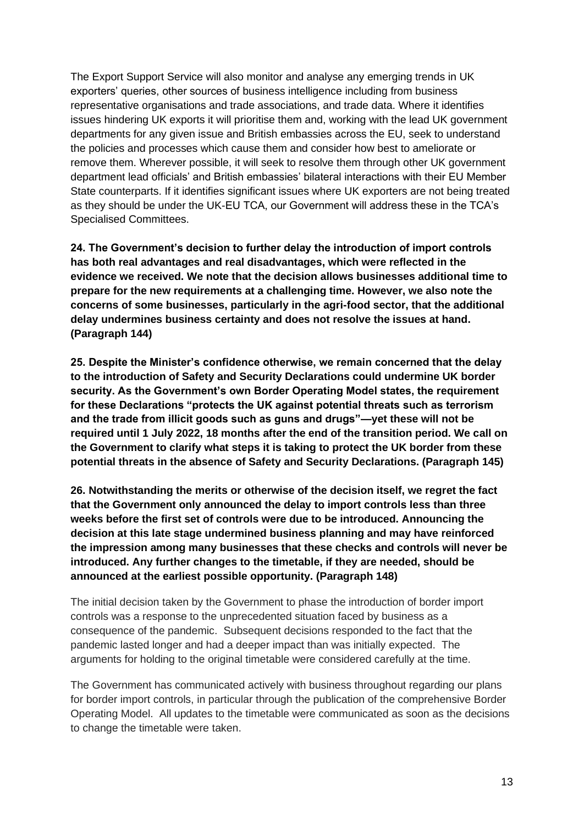The Export Support Service will also monitor and analyse any emerging trends in UK exporters' queries, other sources of business intelligence including from business representative organisations and trade associations, and trade data. Where it identifies issues hindering UK exports it will prioritise them and, working with the lead UK government departments for any given issue and British embassies across the EU, seek to understand the policies and processes which cause them and consider how best to ameliorate or remove them. Wherever possible, it will seek to resolve them through other UK government department lead officials' and British embassies' bilateral interactions with their EU Member State counterparts. If it identifies significant issues where UK exporters are not being treated as they should be under the UK-EU TCA, our Government will address these in the TCA's Specialised Committees.

**24. The Government's decision to further delay the introduction of import controls has both real advantages and real disadvantages, which were reflected in the evidence we received. We note that the decision allows businesses additional time to prepare for the new requirements at a challenging time. However, we also note the concerns of some businesses, particularly in the agri-food sector, that the additional delay undermines business certainty and does not resolve the issues at hand. (Paragraph 144)** 

**25. Despite the Minister's confidence otherwise, we remain concerned that the delay to the introduction of Safety and Security Declarations could undermine UK border security. As the Government's own Border Operating Model states, the requirement for these Declarations "protects the UK against potential threats such as terrorism and the trade from illicit goods such as guns and drugs"—yet these will not be required until 1 July 2022, 18 months after the end of the transition period. We call on the Government to clarify what steps it is taking to protect the UK border from these potential threats in the absence of Safety and Security Declarations. (Paragraph 145)** 

**26. Notwithstanding the merits or otherwise of the decision itself, we regret the fact that the Government only announced the delay to import controls less than three weeks before the first set of controls were due to be introduced. Announcing the decision at this late stage undermined business planning and may have reinforced the impression among many businesses that these checks and controls will never be introduced. Any further changes to the timetable, if they are needed, should be announced at the earliest possible opportunity. (Paragraph 148)** 

The initial decision taken by the Government to phase the introduction of border import controls was a response to the unprecedented situation faced by business as a consequence of the pandemic. Subsequent decisions responded to the fact that the pandemic lasted longer and had a deeper impact than was initially expected. The arguments for holding to the original timetable were considered carefully at the time.

The Government has communicated actively with business throughout regarding our plans for border import controls, in particular through the publication of the comprehensive Border Operating Model. All updates to the timetable were communicated as soon as the decisions to change the timetable were taken.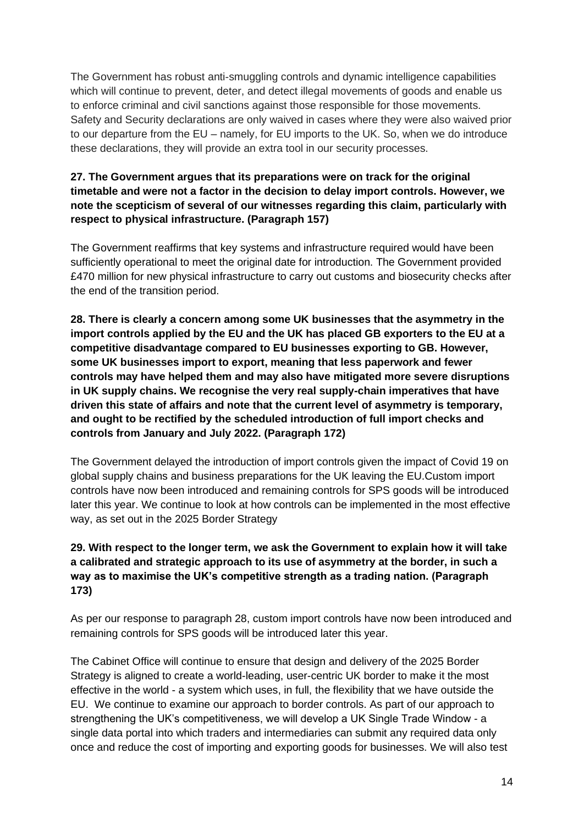The Government has robust anti-smuggling controls and dynamic intelligence capabilities which will continue to prevent, deter, and detect illegal movements of goods and enable us to enforce criminal and civil sanctions against those responsible for those movements. Safety and Security declarations are only waived in cases where they were also waived prior to our departure from the EU – namely, for EU imports to the UK. So, when we do introduce these declarations, they will provide an extra tool in our security processes.

# **27. The Government argues that its preparations were on track for the original timetable and were not a factor in the decision to delay import controls. However, we note the scepticism of several of our witnesses regarding this claim, particularly with respect to physical infrastructure. (Paragraph 157)**

The Government reaffirms that key systems and infrastructure required would have been sufficiently operational to meet the original date for introduction. The Government provided £470 million for new physical infrastructure to carry out customs and biosecurity checks after the end of the transition period.

**28. There is clearly a concern among some UK businesses that the asymmetry in the import controls applied by the EU and the UK has placed GB exporters to the EU at a competitive disadvantage compared to EU businesses exporting to GB. However, some UK businesses import to export, meaning that less paperwork and fewer controls may have helped them and may also have mitigated more severe disruptions in UK supply chains. We recognise the very real supply-chain imperatives that have driven this state of affairs and note that the current level of asymmetry is temporary, and ought to be rectified by the scheduled introduction of full import checks and controls from January and July 2022. (Paragraph 172)** 

The Government delayed the introduction of import controls given the impact of Covid 19 on global supply chains and business preparations for the UK leaving the EU.Custom import controls have now been introduced and remaining controls for SPS goods will be introduced later this year. We continue to look at how controls can be implemented in the most effective way, as set out in the 2025 Border Strategy

# **29. With respect to the longer term, we ask the Government to explain how it will take a calibrated and strategic approach to its use of asymmetry at the border, in such a way as to maximise the UK's competitive strength as a trading nation. (Paragraph 173)**

As per our response to paragraph 28, custom import controls have now been introduced and remaining controls for SPS goods will be introduced later this year.

The Cabinet Office will continue to ensure that design and delivery of the 2025 Border Strategy is aligned to create a world-leading, user-centric UK border to make it the most effective in the world - a system which uses, in full, the flexibility that we have outside the EU. We continue to examine our approach to border controls. As part of our approach to strengthening the UK's competitiveness, we will develop a UK Single Trade Window - a single data portal into which traders and intermediaries can submit any required data only once and reduce the cost of importing and exporting goods for businesses. We will also test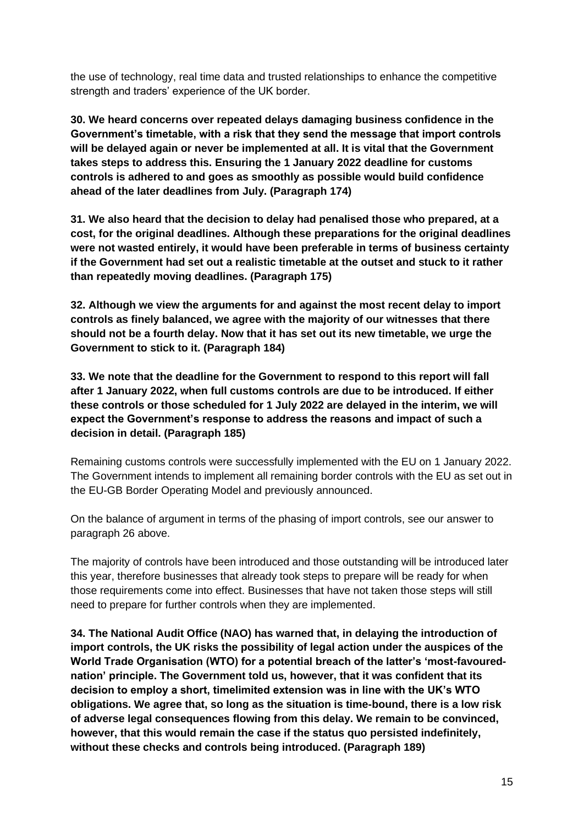the use of technology, real time data and trusted relationships to enhance the competitive strength and traders' experience of the UK border.

**30. We heard concerns over repeated delays damaging business confidence in the Government's timetable, with a risk that they send the message that import controls will be delayed again or never be implemented at all. It is vital that the Government takes steps to address this. Ensuring the 1 January 2022 deadline for customs controls is adhered to and goes as smoothly as possible would build confidence ahead of the later deadlines from July. (Paragraph 174)**

**31. We also heard that the decision to delay had penalised those who prepared, at a cost, for the original deadlines. Although these preparations for the original deadlines were not wasted entirely, it would have been preferable in terms of business certainty if the Government had set out a realistic timetable at the outset and stuck to it rather than repeatedly moving deadlines. (Paragraph 175)** 

**32. Although we view the arguments for and against the most recent delay to import controls as finely balanced, we agree with the majority of our witnesses that there should not be a fourth delay. Now that it has set out its new timetable, we urge the Government to stick to it. (Paragraph 184)** 

**33. We note that the deadline for the Government to respond to this report will fall after 1 January 2022, when full customs controls are due to be introduced. If either these controls or those scheduled for 1 July 2022 are delayed in the interim, we will expect the Government's response to address the reasons and impact of such a decision in detail. (Paragraph 185)** 

Remaining customs controls were successfully implemented with the EU on 1 January 2022. The Government intends to implement all remaining border controls with the EU as set out in the EU-GB Border Operating Model and previously announced.

On the balance of argument in terms of the phasing of import controls, see our answer to paragraph 26 above.

The majority of controls have been introduced and those outstanding will be introduced later this year, therefore businesses that already took steps to prepare will be ready for when those requirements come into effect. Businesses that have not taken those steps will still need to prepare for further controls when they are implemented.

**34. The National Audit Office (NAO) has warned that, in delaying the introduction of import controls, the UK risks the possibility of legal action under the auspices of the World Trade Organisation (WTO) for a potential breach of the latter's 'most-favourednation' principle. The Government told us, however, that it was confident that its decision to employ a short, timelimited extension was in line with the UK's WTO obligations. We agree that, so long as the situation is time-bound, there is a low risk of adverse legal consequences flowing from this delay. We remain to be convinced, however, that this would remain the case if the status quo persisted indefinitely, without these checks and controls being introduced. (Paragraph 189)**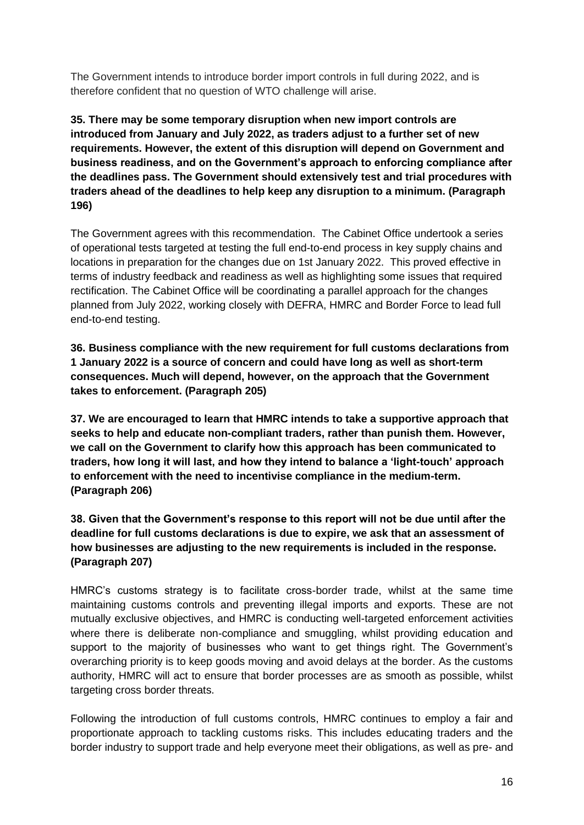The Government intends to introduce border import controls in full during 2022, and is therefore confident that no question of WTO challenge will arise.

**35. There may be some temporary disruption when new import controls are introduced from January and July 2022, as traders adjust to a further set of new requirements. However, the extent of this disruption will depend on Government and business readiness, and on the Government's approach to enforcing compliance after the deadlines pass. The Government should extensively test and trial procedures with traders ahead of the deadlines to help keep any disruption to a minimum. (Paragraph 196)** 

The Government agrees with this recommendation. The Cabinet Office undertook a series of operational tests targeted at testing the full end-to-end process in key supply chains and locations in preparation for the changes due on 1st January 2022. This proved effective in terms of industry feedback and readiness as well as highlighting some issues that required rectification. The Cabinet Office will be coordinating a parallel approach for the changes planned from July 2022, working closely with DEFRA, HMRC and Border Force to lead full end-to-end testing.

**36. Business compliance with the new requirement for full customs declarations from 1 January 2022 is a source of concern and could have long as well as short-term consequences. Much will depend, however, on the approach that the Government takes to enforcement. (Paragraph 205)** 

**37. We are encouraged to learn that HMRC intends to take a supportive approach that seeks to help and educate non-compliant traders, rather than punish them. However, we call on the Government to clarify how this approach has been communicated to traders, how long it will last, and how they intend to balance a 'light-touch' approach to enforcement with the need to incentivise compliance in the medium-term. (Paragraph 206)** 

**38. Given that the Government's response to this report will not be due until after the deadline for full customs declarations is due to expire, we ask that an assessment of how businesses are adjusting to the new requirements is included in the response. (Paragraph 207)** 

HMRC's customs strategy is to facilitate cross-border trade, whilst at the same time maintaining customs controls and preventing illegal imports and exports. These are not mutually exclusive objectives, and HMRC is conducting well-targeted enforcement activities where there is deliberate non-compliance and smuggling, whilst providing education and support to the majority of businesses who want to get things right. The Government's overarching priority is to keep goods moving and avoid delays at the border. As the customs authority, HMRC will act to ensure that border processes are as smooth as possible, whilst targeting cross border threats.

Following the introduction of full customs controls, HMRC continues to employ a fair and proportionate approach to tackling customs risks. This includes educating traders and the border industry to support trade and help everyone meet their obligations, as well as pre- and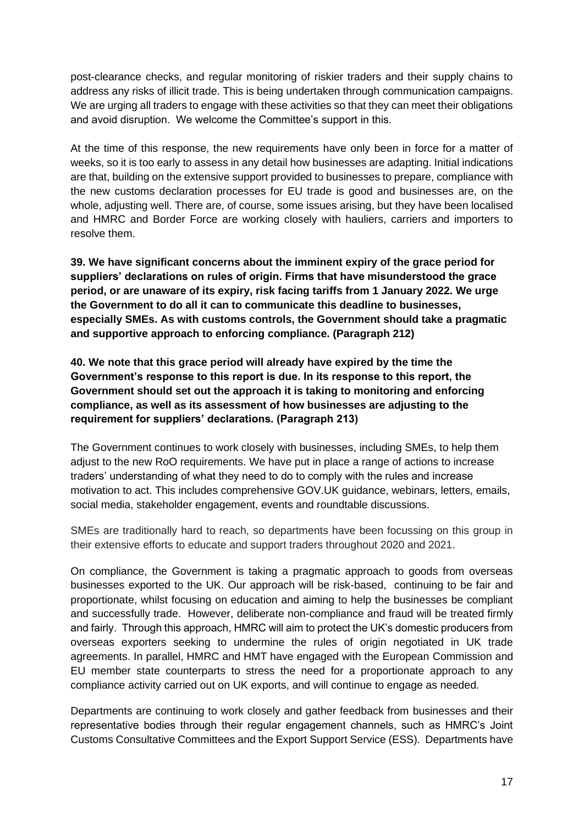post-clearance checks, and regular monitoring of riskier traders and their supply chains to address any risks of illicit trade. This is being undertaken through communication campaigns. We are urging all traders to engage with these activities so that they can meet their obligations and avoid disruption. We welcome the Committee's support in this.

At the time of this response, the new requirements have only been in force for a matter of weeks, so it is too early to assess in any detail how businesses are adapting. Initial indications are that, building on the extensive support provided to businesses to prepare, compliance with the new customs declaration processes for EU trade is good and businesses are, on the whole, adjusting well. There are, of course, some issues arising, but they have been localised and HMRC and Border Force are working closely with hauliers, carriers and importers to resolve them.

**39. We have significant concerns about the imminent expiry of the grace period for suppliers' declarations on rules of origin. Firms that have misunderstood the grace period, or are unaware of its expiry, risk facing tariffs from 1 January 2022. We urge the Government to do all it can to communicate this deadline to businesses, especially SMEs. As with customs controls, the Government should take a pragmatic and supportive approach to enforcing compliance. (Paragraph 212)** 

**40. We note that this grace period will already have expired by the time the Government's response to this report is due. In its response to this report, the Government should set out the approach it is taking to monitoring and enforcing compliance, as well as its assessment of how businesses are adjusting to the requirement for suppliers' declarations. (Paragraph 213)** 

The Government continues to work closely with businesses, including SMEs, to help them adjust to the new RoO requirements. We have put in place a range of actions to increase traders' understanding of what they need to do to comply with the rules and increase motivation to act. This includes comprehensive GOV.UK guidance, webinars, letters, emails, social media, stakeholder engagement, events and roundtable discussions.

SMEs are traditionally hard to reach, so departments have been focussing on this group in their extensive efforts to educate and support traders throughout 2020 and 2021.

On compliance, the Government is taking a pragmatic approach to goods from overseas businesses exported to the UK. Our approach will be risk-based, continuing to be fair and proportionate, whilst focusing on education and aiming to help the businesses be compliant and successfully trade. However, deliberate non-compliance and fraud will be treated firmly and fairly. Through this approach, HMRC will aim to protect the UK's domestic producers from overseas exporters seeking to undermine the rules of origin negotiated in UK trade agreements. In parallel, HMRC and HMT have engaged with the European Commission and EU member state counterparts to stress the need for a proportionate approach to any compliance activity carried out on UK exports, and will continue to engage as needed.

Departments are continuing to work closely and gather feedback from businesses and their representative bodies through their regular engagement channels, such as HMRC's Joint Customs Consultative Committees and the Export Support Service (ESS). Departments have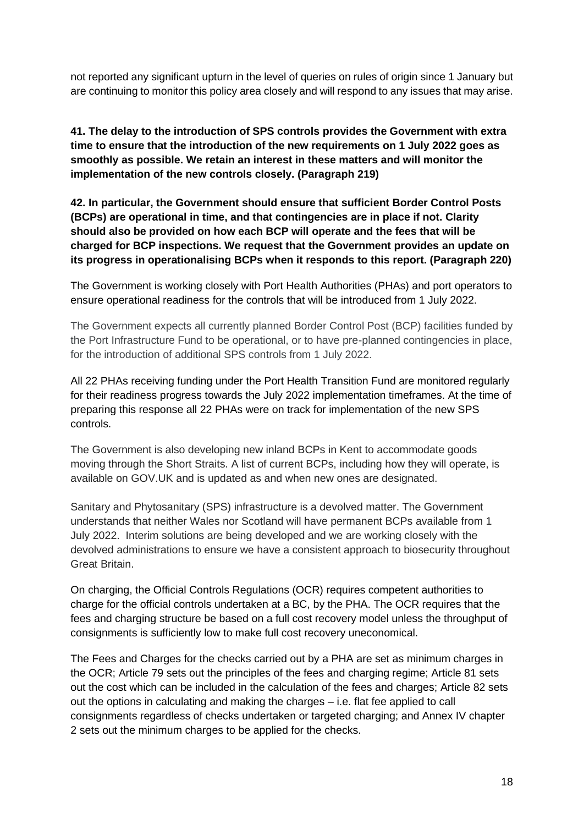not reported any significant upturn in the level of queries on rules of origin since 1 January but are continuing to monitor this policy area closely and will respond to any issues that may arise.

**41. The delay to the introduction of SPS controls provides the Government with extra time to ensure that the introduction of the new requirements on 1 July 2022 goes as smoothly as possible. We retain an interest in these matters and will monitor the implementation of the new controls closely. (Paragraph 219)**

**42. In particular, the Government should ensure that sufficient Border Control Posts (BCPs) are operational in time, and that contingencies are in place if not. Clarity should also be provided on how each BCP will operate and the fees that will be charged for BCP inspections. We request that the Government provides an update on its progress in operationalising BCPs when it responds to this report. (Paragraph 220)** 

The Government is working closely with Port Health Authorities (PHAs) and port operators to ensure operational readiness for the controls that will be introduced from 1 July 2022.

The Government expects all currently planned Border Control Post (BCP) facilities funded by the Port Infrastructure Fund to be operational, or to have pre-planned contingencies in place, for the introduction of additional SPS controls from 1 July 2022.

All 22 PHAs receiving funding under the Port Health Transition Fund are monitored regularly for their readiness progress towards the July 2022 implementation timeframes. At the time of preparing this response all 22 PHAs were on track for implementation of the new SPS controls.

The Government is also developing new inland BCPs in Kent to accommodate goods moving through the Short Straits. A list of current BCPs, including how they will operate, is available on GOV.UK and is updated as and when new ones are designated.

Sanitary and Phytosanitary (SPS) infrastructure is a devolved matter. The Government understands that neither Wales nor Scotland will have permanent BCPs available from 1 July 2022. Interim solutions are being developed and we are working closely with the devolved administrations to ensure we have a consistent approach to biosecurity throughout Great Britain.

On charging, the Official Controls Regulations (OCR) requires competent authorities to charge for the official controls undertaken at a BC, by the PHA. The OCR requires that the fees and charging structure be based on a full cost recovery model unless the throughput of consignments is sufficiently low to make full cost recovery uneconomical.

The Fees and Charges for the checks carried out by a PHA are set as minimum charges in the OCR; Article 79 sets out the principles of the fees and charging regime; Article 81 sets out the cost which can be included in the calculation of the fees and charges; Article 82 sets out the options in calculating and making the charges – i.e. flat fee applied to call consignments regardless of checks undertaken or targeted charging; and Annex IV chapter 2 sets out the minimum charges to be applied for the checks.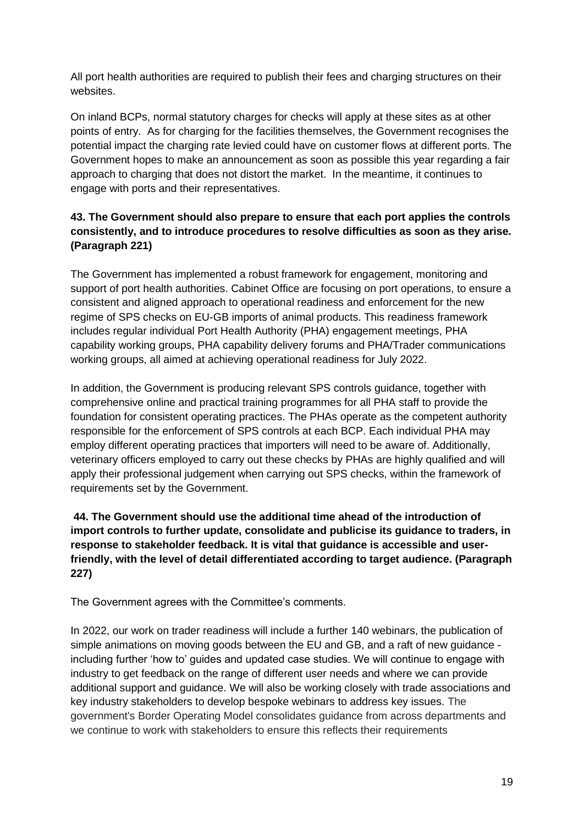All port health authorities are required to publish their fees and charging structures on their websites.

On inland BCPs, normal statutory charges for checks will apply at these sites as at other points of entry. As for charging for the facilities themselves, the Government recognises the potential impact the charging rate levied could have on customer flows at different ports. The Government hopes to make an announcement as soon as possible this year regarding a fair approach to charging that does not distort the market. In the meantime, it continues to engage with ports and their representatives.

# **43. The Government should also prepare to ensure that each port applies the controls consistently, and to introduce procedures to resolve difficulties as soon as they arise. (Paragraph 221)**

The Government has implemented a robust framework for engagement, monitoring and support of port health authorities. Cabinet Office are focusing on port operations, to ensure a consistent and aligned approach to operational readiness and enforcement for the new regime of SPS checks on EU-GB imports of animal products. This readiness framework includes regular individual Port Health Authority (PHA) engagement meetings, PHA capability working groups, PHA capability delivery forums and PHA/Trader communications working groups, all aimed at achieving operational readiness for July 2022.

In addition, the Government is producing relevant SPS controls guidance, together with comprehensive online and practical training programmes for all PHA staff to provide the foundation for consistent operating practices. The PHAs operate as the competent authority responsible for the enforcement of SPS controls at each BCP. Each individual PHA may employ different operating practices that importers will need to be aware of. Additionally, veterinary officers employed to carry out these checks by PHAs are highly qualified and will apply their professional judgement when carrying out SPS checks, within the framework of requirements set by the Government.

# **44. The Government should use the additional time ahead of the introduction of import controls to further update, consolidate and publicise its guidance to traders, in response to stakeholder feedback. It is vital that guidance is accessible and userfriendly, with the level of detail differentiated according to target audience. (Paragraph 227)**

The Government agrees with the Committee's comments.

In 2022, our work on trader readiness will include a further 140 webinars, the publication of simple animations on moving goods between the EU and GB, and a raft of new guidance including further 'how to' guides and updated case studies. We will continue to engage with industry to get feedback on the range of different user needs and where we can provide additional support and guidance. We will also be working closely with trade associations and key industry stakeholders to develop bespoke webinars to address key issues. The government's Border Operating Model consolidates guidance from across departments and we continue to work with stakeholders to ensure this reflects their requirements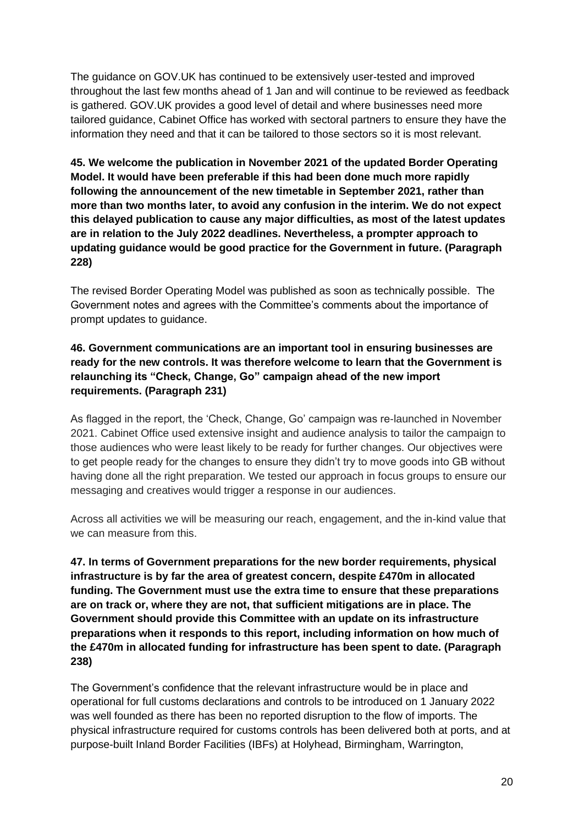The guidance on GOV.UK has continued to be extensively user-tested and improved throughout the last few months ahead of 1 Jan and will continue to be reviewed as feedback is gathered. GOV.UK provides a good level of detail and where businesses need more tailored guidance, Cabinet Office has worked with sectoral partners to ensure they have the information they need and that it can be tailored to those sectors so it is most relevant.

**45. We welcome the publication in November 2021 of the updated Border Operating Model. It would have been preferable if this had been done much more rapidly following the announcement of the new timetable in September 2021, rather than more than two months later, to avoid any confusion in the interim. We do not expect this delayed publication to cause any major difficulties, as most of the latest updates are in relation to the July 2022 deadlines. Nevertheless, a prompter approach to updating guidance would be good practice for the Government in future. (Paragraph 228)** 

The revised Border Operating Model was published as soon as technically possible. The Government notes and agrees with the Committee's comments about the importance of prompt updates to guidance.

# **46. Government communications are an important tool in ensuring businesses are ready for the new controls. It was therefore welcome to learn that the Government is relaunching its "Check, Change, Go" campaign ahead of the new import requirements. (Paragraph 231)**

As flagged in the report, the 'Check, Change, Go' campaign was re-launched in November 2021. Cabinet Office used extensive insight and audience analysis to tailor the campaign to those audiences who were least likely to be ready for further changes. Our objectives were to get people ready for the changes to ensure they didn't try to move goods into GB without having done all the right preparation. We tested our approach in focus groups to ensure our messaging and creatives would trigger a response in our audiences.

Across all activities we will be measuring our reach, engagement, and the in-kind value that we can measure from this.

**47. In terms of Government preparations for the new border requirements, physical infrastructure is by far the area of greatest concern, despite £470m in allocated funding. The Government must use the extra time to ensure that these preparations are on track or, where they are not, that sufficient mitigations are in place. The Government should provide this Committee with an update on its infrastructure preparations when it responds to this report, including information on how much of the £470m in allocated funding for infrastructure has been spent to date. (Paragraph 238)** 

The Government's confidence that the relevant infrastructure would be in place and operational for full customs declarations and controls to be introduced on 1 January 2022 was well founded as there has been no reported disruption to the flow of imports. The physical infrastructure required for customs controls has been delivered both at ports, and at purpose-built Inland Border Facilities (IBFs) at Holyhead, Birmingham, Warrington,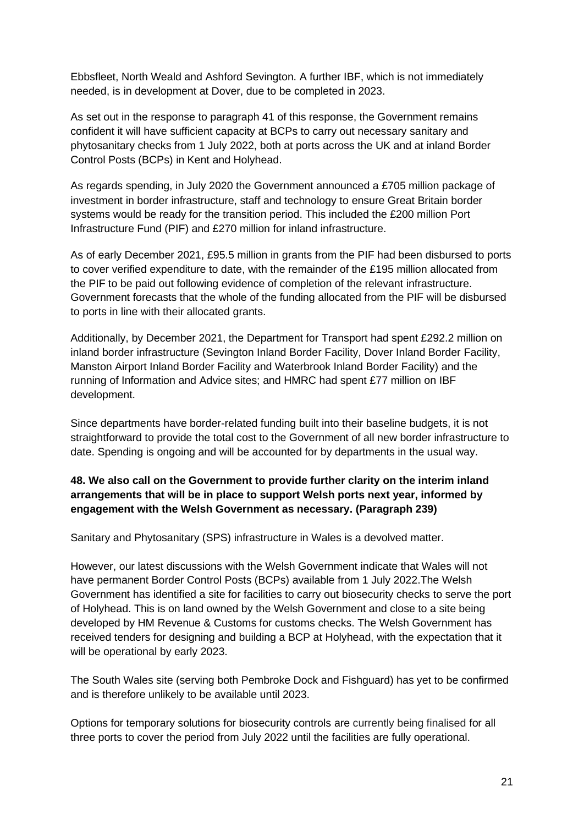Ebbsfleet, North Weald and Ashford Sevington. A further IBF, which is not immediately needed, is in development at Dover, due to be completed in 2023.

As set out in the response to paragraph 41 of this response, the Government remains confident it will have sufficient capacity at BCPs to carry out necessary sanitary and phytosanitary checks from 1 July 2022, both at ports across the UK and at inland Border Control Posts (BCPs) in Kent and Holyhead.

As regards spending, in July 2020 the Government announced a £705 million package of investment in border infrastructure, staff and technology to ensure Great Britain border systems would be ready for the transition period. This included the £200 million Port Infrastructure Fund (PIF) and £270 million for inland infrastructure.

As of early December 2021, £95.5 million in grants from the PIF had been disbursed to ports to cover verified expenditure to date, with the remainder of the £195 million allocated from the PIF to be paid out following evidence of completion of the relevant infrastructure. Government forecasts that the whole of the funding allocated from the PIF will be disbursed to ports in line with their allocated grants.

Additionally, by December 2021, the Department for Transport had spent £292.2 million on inland border infrastructure (Sevington Inland Border Facility, Dover Inland Border Facility, Manston Airport Inland Border Facility and Waterbrook Inland Border Facility) and the running of Information and Advice sites; and HMRC had spent £77 million on IBF development.

Since departments have border-related funding built into their baseline budgets, it is not straightforward to provide the total cost to the Government of all new border infrastructure to date. Spending is ongoing and will be accounted for by departments in the usual way.

# **48. We also call on the Government to provide further clarity on the interim inland arrangements that will be in place to support Welsh ports next year, informed by engagement with the Welsh Government as necessary. (Paragraph 239)**

Sanitary and Phytosanitary (SPS) infrastructure in Wales is a devolved matter.

However, our latest discussions with the Welsh Government indicate that Wales will not have permanent Border Control Posts (BCPs) available from 1 July 2022.The Welsh Government has identified a site for facilities to carry out biosecurity checks to serve the port of Holyhead. This is on land owned by the Welsh Government and close to a site being developed by HM Revenue & Customs for customs checks. The Welsh Government has received tenders for designing and building a BCP at Holyhead, with the expectation that it will be operational by early 2023.

The South Wales site (serving both Pembroke Dock and Fishguard) has yet to be confirmed and is therefore unlikely to be available until 2023.

Options for temporary solutions for biosecurity controls are currently being finalised for all three ports to cover the period from July 2022 until the facilities are fully operational.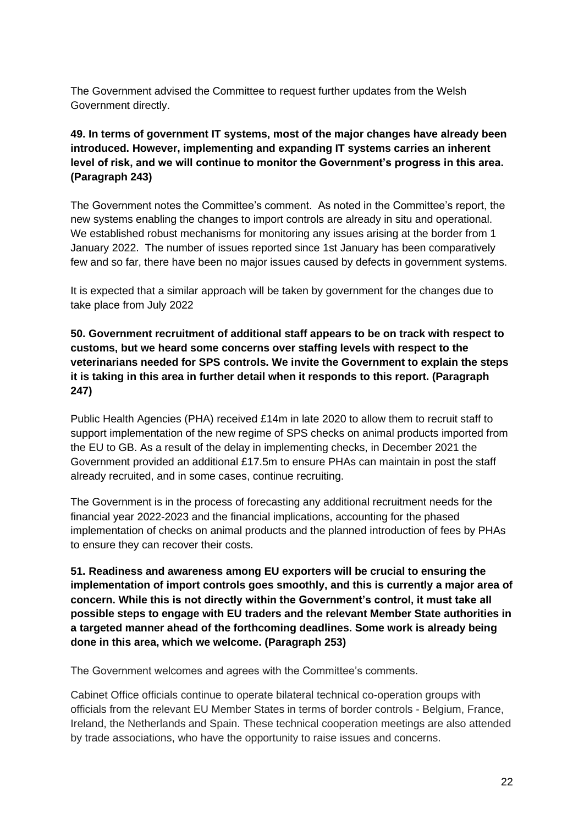The Government advised the Committee to request further updates from the Welsh Government directly.

### **49. In terms of government IT systems, most of the major changes have already been introduced. However, implementing and expanding IT systems carries an inherent level of risk, and we will continue to monitor the Government's progress in this area. (Paragraph 243)**

The Government notes the Committee's comment. As noted in the Committee's report, the new systems enabling the changes to import controls are already in situ and operational. We established robust mechanisms for monitoring any issues arising at the border from 1 January 2022. The number of issues reported since 1st January has been comparatively few and so far, there have been no major issues caused by defects in government systems.

It is expected that a similar approach will be taken by government for the changes due to take place from July 2022

**50. Government recruitment of additional staff appears to be on track with respect to customs, but we heard some concerns over staffing levels with respect to the veterinarians needed for SPS controls. We invite the Government to explain the steps it is taking in this area in further detail when it responds to this report. (Paragraph 247)** 

Public Health Agencies (PHA) received £14m in late 2020 to allow them to recruit staff to support implementation of the new regime of SPS checks on animal products imported from the EU to GB. As a result of the delay in implementing checks, in December 2021 the Government provided an additional £17.5m to ensure PHAs can maintain in post the staff already recruited, and in some cases, continue recruiting.

The Government is in the process of forecasting any additional recruitment needs for the financial year 2022-2023 and the financial implications, accounting for the phased implementation of checks on animal products and the planned introduction of fees by PHAs to ensure they can recover their costs.

**51. Readiness and awareness among EU exporters will be crucial to ensuring the implementation of import controls goes smoothly, and this is currently a major area of concern. While this is not directly within the Government's control, it must take all possible steps to engage with EU traders and the relevant Member State authorities in a targeted manner ahead of the forthcoming deadlines. Some work is already being done in this area, which we welcome. (Paragraph 253)** 

The Government welcomes and agrees with the Committee's comments.

Cabinet Office officials continue to operate bilateral technical co-operation groups with officials from the relevant EU Member States in terms of border controls - Belgium, France, Ireland, the Netherlands and Spain. These technical cooperation meetings are also attended by trade associations, who have the opportunity to raise issues and concerns.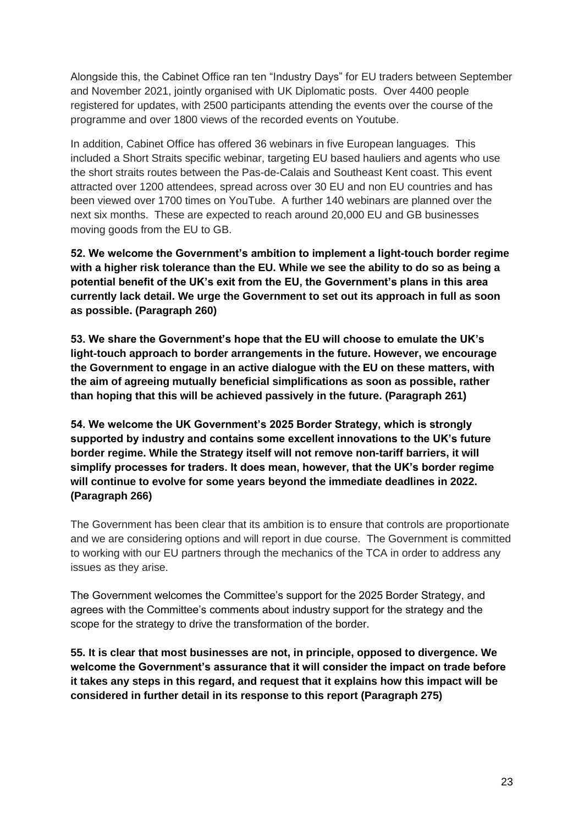Alongside this, the Cabinet Office ran ten "Industry Days" for EU traders between September and November 2021, jointly organised with UK Diplomatic posts. Over 4400 people registered for updates, with 2500 participants attending the events over the course of the programme and over 1800 views of the recorded events on Youtube.

In addition, Cabinet Office has offered 36 webinars in five European languages. This included a Short Straits specific webinar, targeting EU based hauliers and agents who use the short straits routes between the Pas-de-Calais and Southeast Kent coast. This event attracted over 1200 attendees, spread across over 30 EU and non EU countries and has been viewed over 1700 times on YouTube. A further 140 webinars are planned over the next six months. These are expected to reach around 20,000 EU and GB businesses moving goods from the EU to GB.

**52. We welcome the Government's ambition to implement a light-touch border regime with a higher risk tolerance than the EU. While we see the ability to do so as being a potential benefit of the UK's exit from the EU, the Government's plans in this area currently lack detail. We urge the Government to set out its approach in full as soon as possible. (Paragraph 260)** 

**53. We share the Government's hope that the EU will choose to emulate the UK's light-touch approach to border arrangements in the future. However, we encourage the Government to engage in an active dialogue with the EU on these matters, with the aim of agreeing mutually beneficial simplifications as soon as possible, rather than hoping that this will be achieved passively in the future. (Paragraph 261)** 

**54. We welcome the UK Government's 2025 Border Strategy, which is strongly supported by industry and contains some excellent innovations to the UK's future border regime. While the Strategy itself will not remove non-tariff barriers, it will simplify processes for traders. It does mean, however, that the UK's border regime will continue to evolve for some years beyond the immediate deadlines in 2022. (Paragraph 266)** 

The Government has been clear that its ambition is to ensure that controls are proportionate and we are considering options and will report in due course. The Government is committed to working with our EU partners through the mechanics of the TCA in order to address any issues as they arise.

The Government welcomes the Committee's support for the 2025 Border Strategy, and agrees with the Committee's comments about industry support for the strategy and the scope for the strategy to drive the transformation of the border.

**55. It is clear that most businesses are not, in principle, opposed to divergence. We welcome the Government's assurance that it will consider the impact on trade before it takes any steps in this regard, and request that it explains how this impact will be considered in further detail in its response to this report (Paragraph 275)**